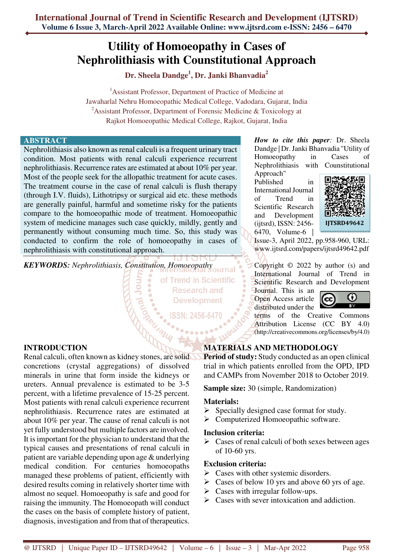# **Utility of Homoeopathy in Cases of Nephrolithiasis with Counstitutional Approach**

**Dr. Sheela Dandge<sup>1</sup> , Dr. Janki Bhanvadia<sup>2</sup>**

<sup>1</sup>Assistant Professor, Department of Practice of Medicine at Jawaharlal Nehru Homoeopathic Medical College, Vadodara, Gujarat, India <sup>2</sup> Assistant Professor, Department of Forensic Medicine & Toxicology at Rajkot Homoeopathic Medical College, Rajkot, Gujarat, India

# **ABSTRACT**

Nephrolithiasis also known as renal calculi is a frequent urinary tract condition. Most patients with renal calculi experience recurrent nephrolithiasis. Recurrence rates are estimated at about 10% per year. Most of the people seek for the allopathic treatment for acute cases. The treatment course in the case of renal calculi is flush therapy (through I.V. fluids), Lithotripsy or surgical aid etc. these methods are generally painful, harmful and sometime risky for the patients compare to the homoeopathic mode of treatment. Homoeopathic system of medicine manages such case quickly, mildly, gently and permanently without consuming much time. So, this study was conducted to confirm the role of homoeopathy in cases of nephrolithiasis with constitutional approach.

*KEYWORDS: Nephrolithiasis, Constitution, Homoeopathy* 

of Trend in Scientific **Research and Development** 

**ISSN: 2456-6470** 

**INTRODUCTION** 

Renal calculi, often known as kidney stones, are solid concretions (crystal aggregations) of dissolved minerals in urine that form inside the kidneys or ureters. Annual prevalence is estimated to be 3-5 percent, with a lifetime prevalence of 15-25 percent. Most patients with renal calculi experience recurrent nephrolithiasis. Recurrence rates are estimated at about 10% per year. The cause of renal calculi is not yet fully understood but multiple factors are involved. It is important for the physician to understand that the typical causes and presentations of renal calculi in patient are variable depending upon age & underlying medical condition. For centuries homoeopaths managed these problems of patient, efficiently with desired results coming in relatively shorter time with almost no sequel. Homoeopathy is safe and good for raising the immunity. The Homoeopath will conduct the cases on the basis of complete history of patient, diagnosis, investigation and from that of therapeutics.

*How to cite this paper:* Dr. Sheela Dandge | Dr. Janki Bhanvadia "Utility of Homoeopathy in Cases of Nephrolithiasis with Counstitutional

Approach" Published in International Journal of Trend in Scientific Research and Development (ijtsrd), ISSN: 2456- 6470, Volume-6 |



Issue-3, April 2022, pp.958-960, URL: www.ijtsrd.com/papers/ijtsrd49642.pdf

Copyright © 2022 by author (s) and International Journal of Trend in Scientific Research and Development

Journal. This is an Open Access article distributed under the



terms of the Creative Commons Attribution License (CC BY 4.0) (http://creativecommons.org/licenses/by/4.0)

# **MATERIALS AND METHODOLOGY**

**Period of study:** Study conducted as an open clinical trial in which patients enrolled from the OPD, IPD and CAMPs from November 2018 to October 2019.

**Sample size:** 30 (simple, Randomization)

# **Materials:**

- $\triangleright$  Specially designed case format for study.
- > Computerized Homoeopathic software.

#### **Inclusion criteria:**

 $\triangleright$  Cases of renal calculi of both sexes between ages of 10-60 yrs.

# **Exclusion criteria:**

- $\triangleright$  Cases with other systemic disorders.
- $\triangleright$  Cases of below 10 yrs and above 60 yrs of age.
- $\triangleright$  Cases with irregular follow-ups.
- $\triangleright$  Cases with sever intoxication and addiction.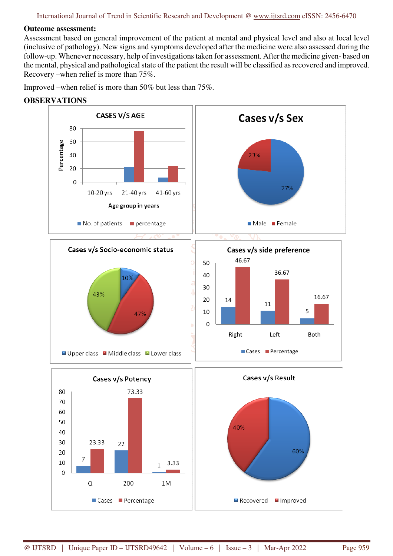#### **Outcome assessment:**

Assessment based on general improvement of the patient at mental and physical level and also at local level (inclusive of pathology). New signs and symptoms developed after the medicine were also assessed during the follow-up. Whenever necessary, help of investigations taken for assessment. After the medicine given- based on the mental, physical and pathological state of the patient the result will be classified as recovered and improved. Recovery –when relief is more than 75%.

Improved –when relief is more than 50% but less than 75%.

**OBSERVATIONS**